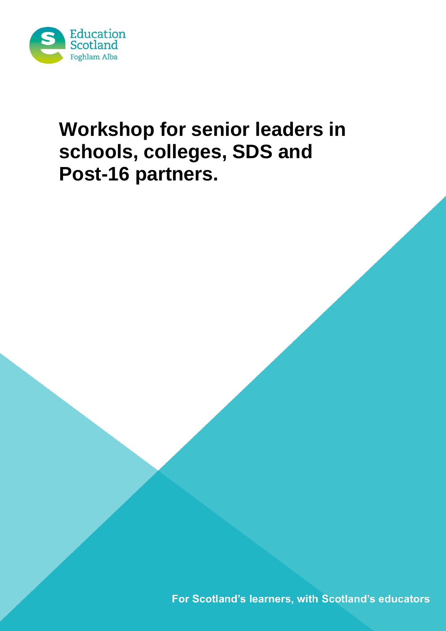

# **Workshop for senior leaders in schools, colleges, SDS and Post-16 partners.**

For Scotland's learners, with Scotland's educators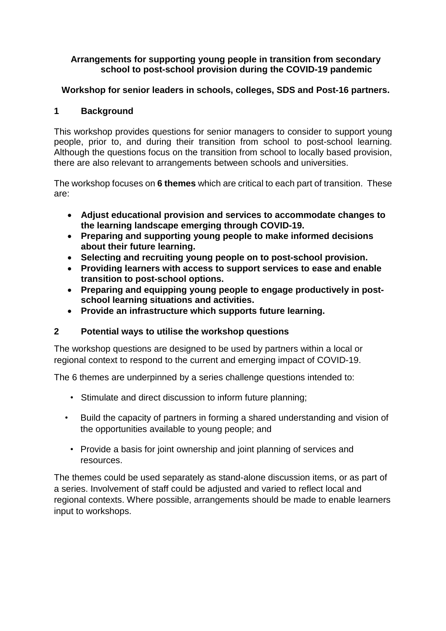#### **Arrangements for supporting young people in transition from secondary school to post-school provision during the COVID-19 pandemic**

# **Workshop for senior leaders in schools, colleges, SDS and Post-16 partners.**

# **1 Background**

This workshop provides questions for senior managers to consider to support young people, prior to, and during their transition from school to post-school learning. Although the questions focus on the transition from school to locally based provision, there are also relevant to arrangements between schools and universities.

The workshop focuses on **6 themes** which are critical to each part of transition. These are:

- **Adjust educational provision and services to accommodate changes to the learning landscape emerging through COVID-19.**
- **Preparing and supporting young people to make informed decisions about their future learning.**
- **Selecting and recruiting young people on to post-school provision.**
- **Providing learners with access to support services to ease and enable transition to post-school options.**
- **Preparing and equipping young people to engage productively in postschool learning situations and activities.**
- **Provide an infrastructure which supports future learning.**

# **2 Potential ways to utilise the workshop questions**

The workshop questions are designed to be used by partners within a local or regional context to respond to the current and emerging impact of COVID-19.

The 6 themes are underpinned by a series challenge questions intended to:

- Stimulate and direct discussion to inform future planning;
- Build the capacity of partners in forming a shared understanding and vision of the opportunities available to young people; and
	- Provide a basis for joint ownership and joint planning of services and resources.

The themes could be used separately as stand-alone discussion items, or as part of a series. Involvement of staff could be adjusted and varied to reflect local and regional contexts. Where possible, arrangements should be made to enable learners input to workshops.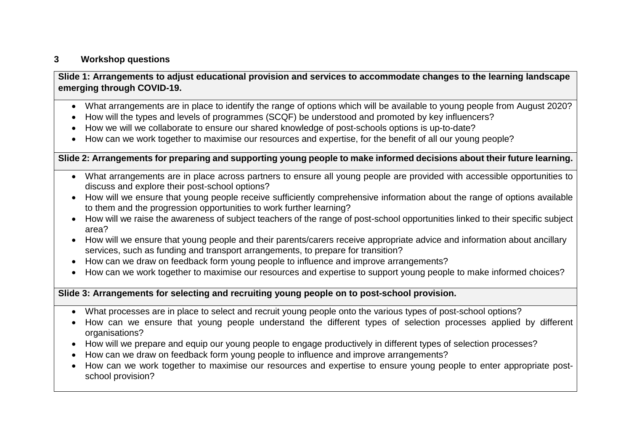#### **3 Workshop questions**

# Slide 1: Arrangements to adjust educational provision and services to accommodate changes to the learning landscape **emerging through COVID-19.**

- What arrangements are in place to identify the range of options which will be available to young people from August 2020?
- How will the types and levels of programmes (SCQF) be understood and promoted by key influencers?
- How we will we collaborate to ensure our shared knowledge of post-schools options is up-to-date?
- How can we work together to maximise our resources and expertise, for the benefit of all our young people?

#### Slide 2: Arrangements for preparing and supporting young people to make informed decisions about their future learning.

- What arrangements are in place across partners to ensure all young people are provided with accessible opportunities to discuss and explore their post-school options?
- How will we ensure that young people receive sufficiently comprehensive information about the range of options available to them and the progression opportunities to work further learning?
- How will we raise the awareness of subject teachers of the range of post-school opportunities linked to their specific subject area?
- How will we ensure that young people and their parents/carers receive appropriate advice and information about ancillary services, such as funding and transport arrangements, to prepare for transition?
- How can we draw on feedback form young people to influence and improve arrangements?
- How can we work together to maximise our resources and expertise to support young people to make informed choices?

### **Slide 3: Arrangements for selecting and recruiting young people on to post-school provision.**

- What processes are in place to select and recruit young people onto the various types of post-school options?
- How can we ensure that young people understand the different types of selection processes applied by different organisations?
- How will we prepare and equip our young people to engage productively in different types of selection processes?
- How can we draw on feedback form young people to influence and improve arrangements?
- How can we work together to maximise our resources and expertise to ensure young people to enter appropriate postschool provision?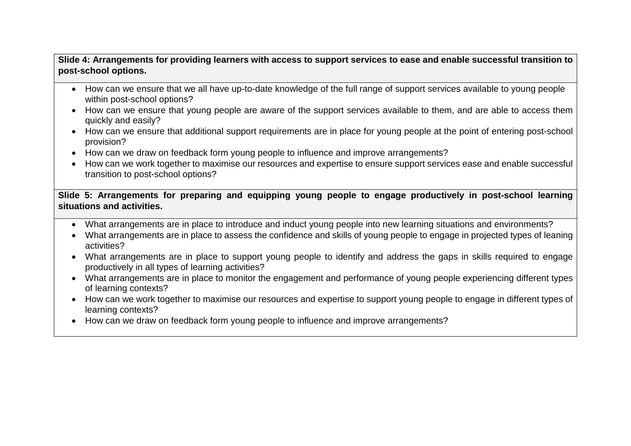# Slide 4: Arrangements for providing learners with access to support services to ease and enable successful transition to **post-school options.**

- How can we ensure that we all have up-to-date knowledge of the full range of support services available to young people within post-school options?
- How can we ensure that young people are aware of the support services available to them, and are able to access them quickly and easily?
- How can we ensure that additional support requirements are in place for young people at the point of entering post-school provision?
- How can we draw on feedback form young people to influence and improve arrangements?
- How can we work together to maximise our resources and expertise to ensure support services ease and enable successful transition to post-school options?

**Slide 5: Arrangements for preparing and equipping young people to engage productively in post-school learning situations and activities.**

- What arrangements are in place to introduce and induct young people into new learning situations and environments?
- What arrangements are in place to assess the confidence and skills of young people to engage in projected types of leaning activities?
- What arrangements are in place to support young people to identify and address the gaps in skills required to engage productively in all types of learning activities?
- What arrangements are in place to monitor the engagement and performance of young people experiencing different types of learning contexts?
- How can we work together to maximise our resources and expertise to support young people to engage in different types of learning contexts?
- How can we draw on feedback form young people to influence and improve arrangements?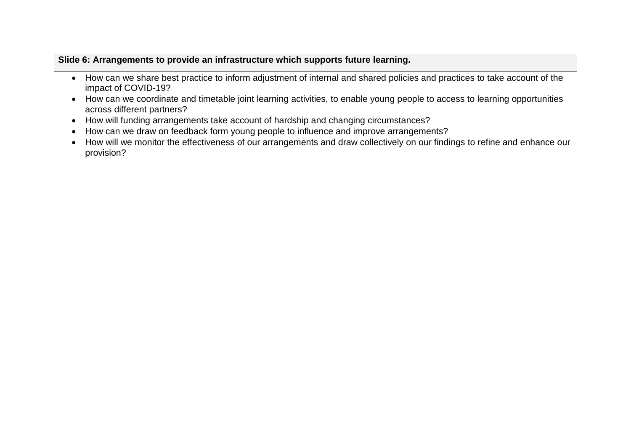## **Slide 6: Arrangements to provide an infrastructure which supports future learning.**

- How can we share best practice to inform adjustment of internal and shared policies and practices to take account of the impact of COVID-19?
- How can we coordinate and timetable joint learning activities, to enable young people to access to learning opportunities across different partners?
- How will funding arrangements take account of hardship and changing circumstances?
- How can we draw on feedback form young people to influence and improve arrangements?
- How will we monitor the effectiveness of our arrangements and draw collectively on our findings to refine and enhance our provision?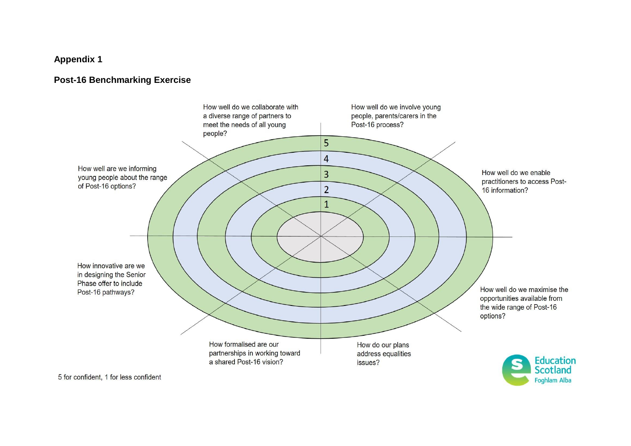# **Appendix 1**

#### **Post-16 Benchmarking Exercise**



Foghlam Alba

5 for confident, 1 for less confident